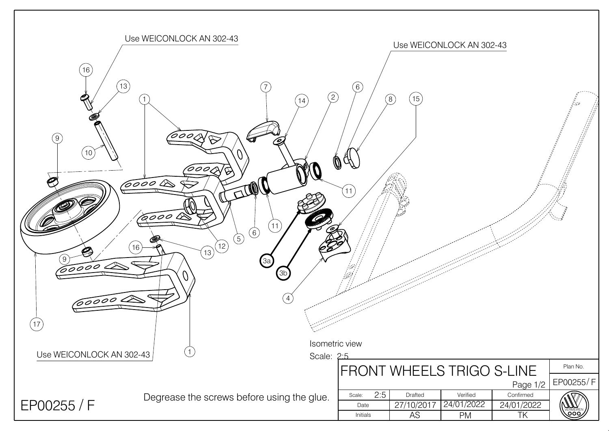